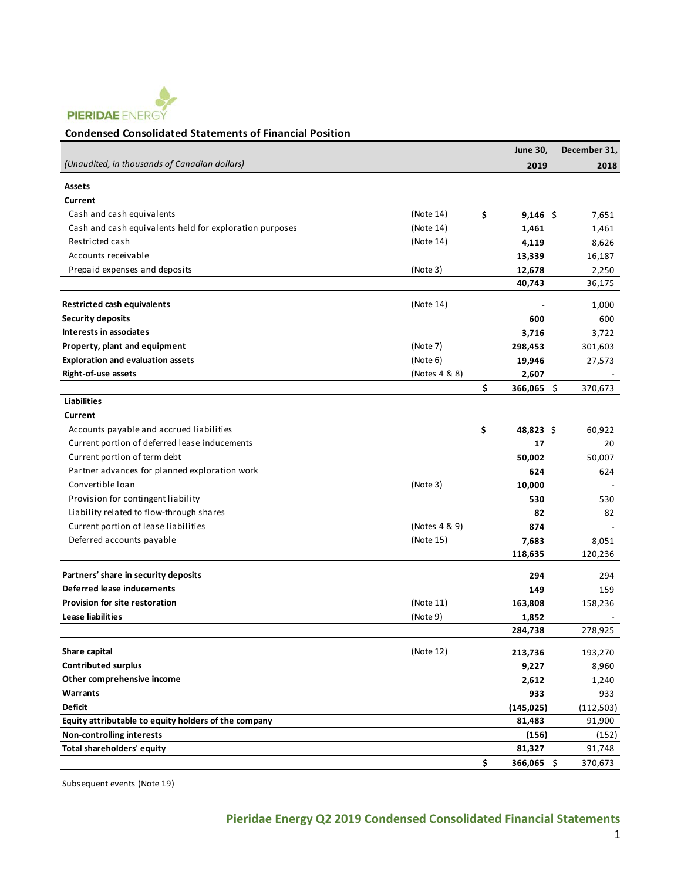

#### **Condensed Consolidated Statements of Financial Position**

|                                                         |               | <b>June 30,</b>  | December 31, |
|---------------------------------------------------------|---------------|------------------|--------------|
| (Unaudited, in thousands of Canadian dollars)           |               | 2019             | 2018         |
| <b>Assets</b>                                           |               |                  |              |
| Current                                                 |               |                  |              |
| Cash and cash equivalents                               | (Note 14)     | \$<br>$9,146$ \$ | 7,651        |
| Cash and cash equivalents held for exploration purposes | (Note 14)     | 1,461            | 1,461        |
| Restricted cash                                         | (Note 14)     | 4,119            | 8,626        |
| Accounts receivable                                     |               | 13,339           | 16,187       |
| Prepaid expenses and deposits                           | (Note 3)      | 12,678           | 2,250        |
|                                                         |               | 40,743           | 36,175       |
| <b>Restricted cash equivalents</b>                      | (Note 14)     |                  | 1,000        |
| <b>Security deposits</b>                                |               | 600              | 600          |
| Interests in associates                                 |               | 3,716            | 3,722        |
| Property, plant and equipment                           | (Note 7)      | 298,453          | 301,603      |
| <b>Exploration and evaluation assets</b>                | (Note 6)      | 19,946           | 27,573       |
| Right-of-use assets                                     | (Notes 4 & 8) | 2,607            |              |
|                                                         |               | \$<br>366,065 \$ | 370,673      |
| <b>Liabilities</b>                                      |               |                  |              |
| Current                                                 |               |                  |              |
| Accounts payable and accrued liabilities                |               | \$<br>48,823 \$  | 60,922       |
| Current portion of deferred lease inducements           |               | 17               | 20           |
| Current portion of term debt                            |               | 50,002           | 50,007       |
| Partner advances for planned exploration work           |               | 624              | 624          |
| Convertible loan                                        | (Note 3)      | 10,000           |              |
| Provision for contingent liability                      |               | 530              | 530          |
| Liability related to flow-through shares                |               | 82               | 82           |
| Current portion of lease liabilities                    | (Notes 4 & 9) | 874              |              |
| Deferred accounts payable                               | (Note 15)     | 7,683            | 8,051        |
|                                                         |               | 118,635          | 120,236      |
| Partners' share in security deposits                    |               | 294              | 294          |
| Deferred lease inducements                              |               | 149              | 159          |
| <b>Provision for site restoration</b>                   | (Note 11)     | 163,808          | 158,236      |
| <b>Lease liabilities</b>                                | (Note 9)      | 1,852            |              |
|                                                         |               | 284,738          | 278,925      |
| Share capital                                           | (Note 12)     | 213,736          | 193,270      |
| <b>Contributed surplus</b>                              |               | 9,227            | 8,960        |
| Other comprehensive income                              |               | 2,612            | 1,240        |
| Warrants                                                |               | 933              | 933          |
| <b>Deficit</b>                                          |               | (145, 025)       | (112, 503)   |
| Equity attributable to equity holders of the company    |               | 81,483           | 91,900       |
| <b>Non-controlling interests</b>                        |               | (156)            | (152)        |
| Total shareholders' equity                              |               | 81,327           | 91,748       |
|                                                         |               | \$<br>366,065 \$ | 370,673      |

Subsequent events (Note 19)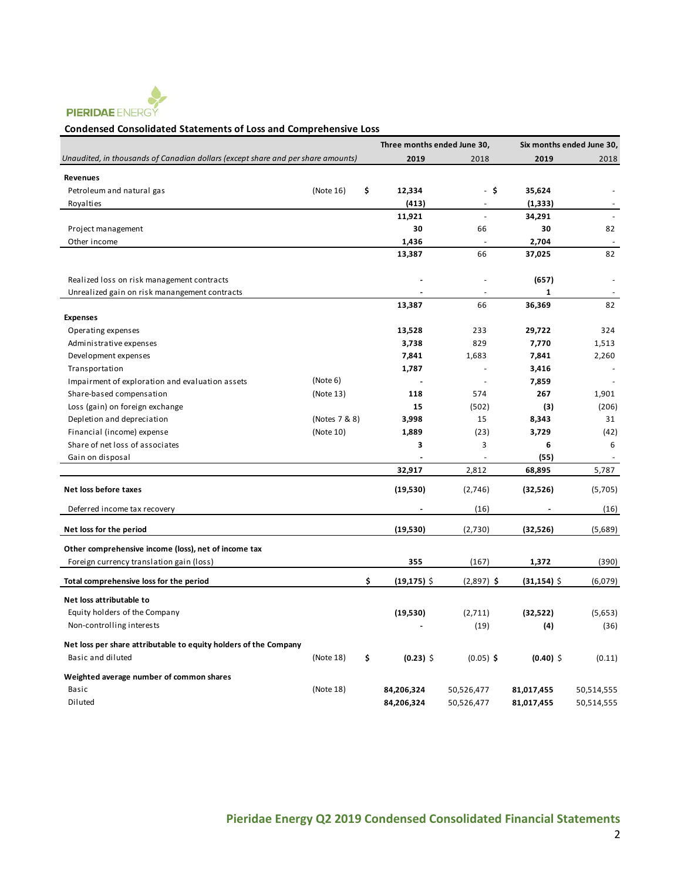

#### **Condensed Consolidated Statements of Loss and Comprehensive Loss**

|                                                                                                  |               | Three months ended June 30, |              |                | Six months ended June 30, |
|--------------------------------------------------------------------------------------------------|---------------|-----------------------------|--------------|----------------|---------------------------|
| Unaudited, in thousands of Canadian dollars (except share and per share amounts)                 |               | 2019                        | 2018         | 2019           | 2018                      |
| <b>Revenues</b>                                                                                  |               |                             |              |                |                           |
| Petroleum and natural gas                                                                        | (Note 16)     | \$<br>12,334                | -\$          | 35,624         |                           |
| Royalties                                                                                        |               | (413)                       |              | (1, 333)       |                           |
|                                                                                                  |               | 11,921                      | $\Box$       | 34,291         | $\sim$                    |
| Project management                                                                               |               | 30                          | 66           | 30             | 82                        |
| Other income                                                                                     |               | 1,436                       |              | 2,704          |                           |
|                                                                                                  |               | 13,387                      | 66           | 37,025         | 82                        |
|                                                                                                  |               |                             |              |                |                           |
| Realized loss on risk management contracts                                                       |               | ÷.                          | ÷.           | (657)<br>1     |                           |
| Unrealized gain on risk manangement contracts                                                    |               | 13,387                      | 66           | 36,369         | 82                        |
|                                                                                                  |               |                             |              |                |                           |
| <b>Expenses</b>                                                                                  |               |                             | 233          |                | 324                       |
| Operating expenses                                                                               |               | 13,528                      |              | 29,722         |                           |
| Administrative expenses                                                                          |               | 3,738                       | 829          | 7,770          | 1,513                     |
| Development expenses                                                                             |               | 7,841                       | 1,683        | 7,841          | 2,260                     |
| Transportation                                                                                   |               | 1,787                       | ÷,           | 3,416          |                           |
| Impairment of exploration and evaluation assets                                                  | (Note 6)      |                             |              | 7,859          |                           |
| Share-based compensation                                                                         | (Note 13)     | 118                         | 574          | 267            | 1,901                     |
| Loss (gain) on foreign exchange                                                                  |               | 15                          | (502)        | (3)            | (206)                     |
| Depletion and depreciation                                                                       | (Notes 7 & 8) | 3,998                       | 15           | 8,343          | 31                        |
| Financial (income) expense                                                                       | (Note 10)     | 1,889                       | (23)         | 3,729          | (42)                      |
| Share of net loss of associates                                                                  |               | 3                           | 3            | 6              | 6                         |
| Gain on disposal                                                                                 |               |                             |              | (55)           |                           |
|                                                                                                  |               | 32,917                      | 2,812        | 68,895         | 5,787                     |
| Net loss before taxes                                                                            |               | (19,530)                    | (2,746)      | (32,526)       | (5,705)                   |
| Deferred income tax recovery                                                                     |               |                             | (16)         |                | (16)                      |
| Net loss for the period                                                                          |               | (19,530)                    | (2,730)      | (32,526)       | (5,689)                   |
|                                                                                                  |               |                             |              |                |                           |
| Other comprehensive income (loss), net of income tax<br>Foreign currency translation gain (loss) |               | 355                         | (167)        | 1,372          | (390)                     |
| Total comprehensive loss for the period                                                          |               | \$<br>$(19, 175)$ \$        | $(2,897)$ \$ | $(31, 154)$ \$ | (6,079)                   |
|                                                                                                  |               |                             |              |                |                           |
| Net loss attributable to                                                                         |               |                             |              |                |                           |
| Equity holders of the Company                                                                    |               | (19,530)                    | (2,711)      | (32,522)       | (5,653)                   |
| Non-controlling interests                                                                        |               |                             | (19)         | (4)            | (36)                      |
| Net loss per share attributable to equity holders of the Company                                 |               |                             |              |                |                           |
| Basic and diluted                                                                                | (Note 18)     | \$<br>$(0.23)$ \$           | $(0.05)$ \$  | $(0.40)$ \$    | (0.11)                    |
| Weighted average number of common shares                                                         |               |                             |              |                |                           |
| Basic                                                                                            | (Note 18)     | 84,206,324                  | 50,526,477   | 81,017,455     | 50,514,555                |
| Diluted                                                                                          |               | 84,206,324                  | 50,526,477   | 81,017,455     | 50,514,555                |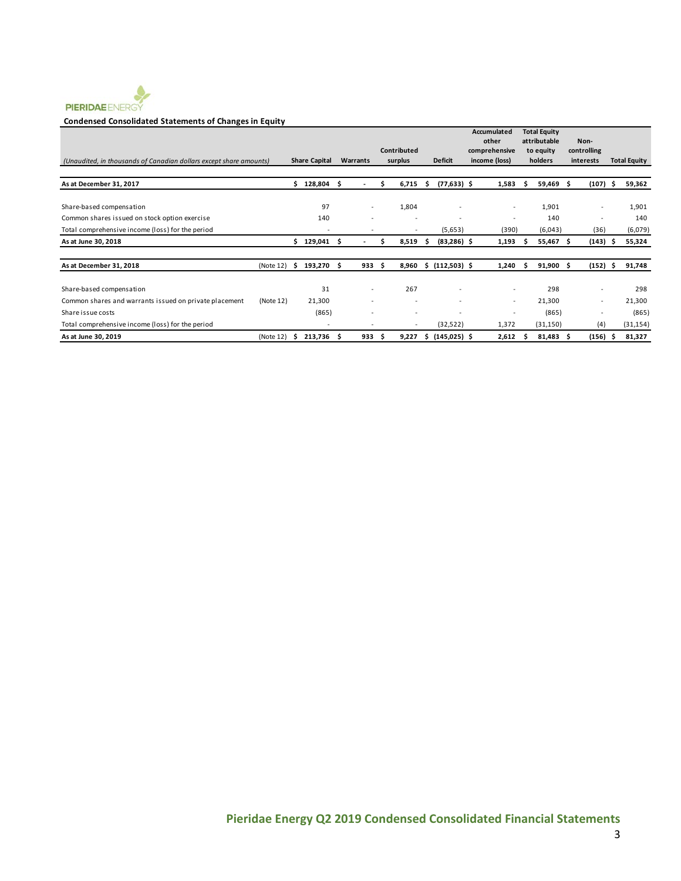

#### **Condensed Consolidated Statements of Changes in Equity**

|                                                                    |           |     |                          |     |                          |    |                          |    |                          | Accumulated              |    | <b>Total Equity</b>       |                          |    |                     |
|--------------------------------------------------------------------|-----------|-----|--------------------------|-----|--------------------------|----|--------------------------|----|--------------------------|--------------------------|----|---------------------------|--------------------------|----|---------------------|
|                                                                    |           |     |                          |     |                          |    | Contributed              |    |                          | other<br>comprehensive   |    | attributable<br>to equity | Non-<br>controlling      |    |                     |
| (Unaudited, in thousands of Canadian dollars except share amounts) |           |     | <b>Share Capital</b>     |     | Warrants                 |    | surplus                  |    | <b>Deficit</b>           | income (loss)            |    | holders                   | interests                |    | <b>Total Equity</b> |
|                                                                    |           |     |                          |     |                          |    |                          |    |                          |                          |    |                           |                          |    |                     |
| As at December 31, 2017                                            |           | Ś.  | 128,804 \$               |     |                          | s  | 6,715                    | -S | $(77, 633)$ \$           | 1,583                    | .s | 59,469 \$                 | $(107)$ \$               |    | 59,362              |
|                                                                    |           |     |                          |     |                          |    |                          |    |                          |                          |    |                           |                          |    |                     |
| Share-based compensation                                           |           |     | 97                       |     | $\overline{\phantom{a}}$ |    | 1,804                    |    |                          | $\overline{\phantom{a}}$ |    | 1,901                     |                          |    | 1,901               |
| Common shares issued on stock option exercise                      |           |     | 140                      |     |                          |    | $\overline{\phantom{a}}$ |    |                          | $\overline{\phantom{a}}$ |    | 140                       |                          |    | 140                 |
| Total comprehensive income (loss) for the period                   |           |     | $\overline{\phantom{a}}$ |     |                          |    | $\overline{\phantom{a}}$ |    | (5,653)                  | (390)                    |    | (6,043)                   | (36)                     |    | (6,079)             |
| As at June 30, 2018                                                |           | S.  | $129,041$ \$             |     |                          | s  | 8,519                    | -S | $(83,286)$ \$            | 1,193                    | .s | 55,467 \$                 | (143)                    |    | 55,324              |
| As at December 31, 2018                                            | (Note 12) | -\$ | 193,270                  | - Ś | 933                      | -S | 8,960                    |    | $$(112,503)$ \$          | 1,240                    | s  | 91,900 \$                 | (152)                    | -S | 91,748              |
| Share-based compensation                                           |           |     | 31                       |     | $\overline{\phantom{a}}$ |    | 267                      |    | ٠.                       | $\overline{\phantom{a}}$ |    | 298                       |                          |    | 298                 |
|                                                                    |           |     |                          |     |                          |    |                          |    |                          | ٠                        |    |                           |                          |    |                     |
| Common shares and warrants issued on private placement             | (Note 12) |     | 21,300                   |     | $\overline{\phantom{a}}$ |    | $\overline{\phantom{a}}$ |    | $\overline{\phantom{a}}$ |                          |    | 21,300                    | $\overline{\phantom{a}}$ |    | 21,300              |
| Share issue costs                                                  |           |     | (865)                    |     |                          |    | $\overline{\phantom{a}}$ |    |                          | ٠                        |    | (865)                     |                          |    | (865)               |
| Total comprehensive income (loss) for the period                   |           |     | $\overline{\phantom{a}}$ |     |                          |    | $\overline{\phantom{a}}$ |    | (32, 522)                | 1,372                    |    | (31, 150)                 | (4)                      |    | (31, 154)           |
| As at June 30, 2019                                                | (Note 12) | s   | 213,736 \$               |     | 933                      | S  | 9,227                    | s  | $(145, 025)$ \$          | 2,612                    |    | 81,483                    | (156)<br>-\$             |    | 81,327              |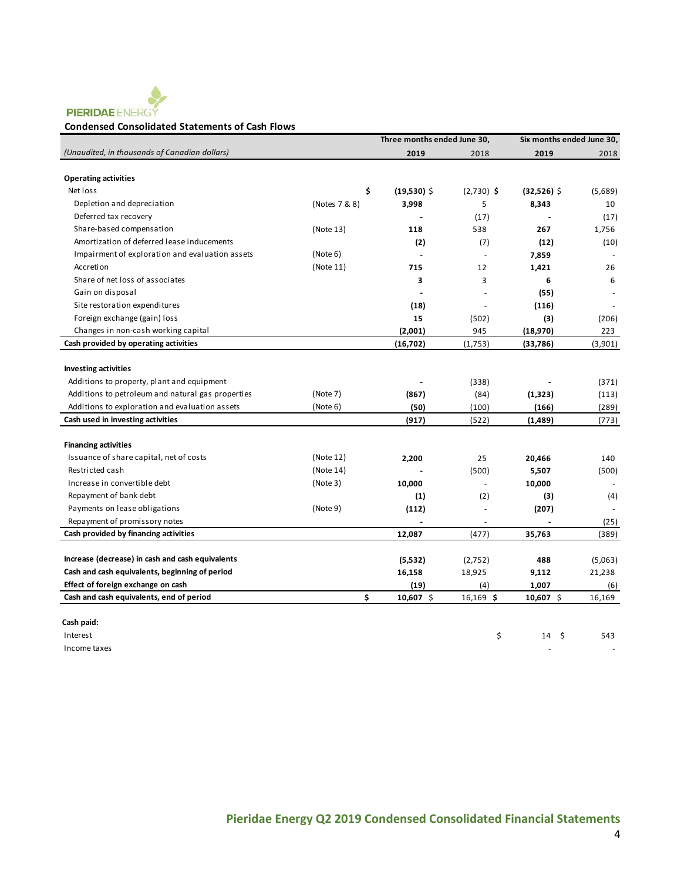

#### **Condensed Consolidated Statements of Cash Flows**

|                                                   |               | Three months ended June 30, |              | Six months ended June 30, |         |
|---------------------------------------------------|---------------|-----------------------------|--------------|---------------------------|---------|
| (Unaudited, in thousands of Canadian dollars)     |               | 2019                        | 2018         | 2019                      | 2018    |
|                                                   |               |                             |              |                           |         |
| <b>Operating activities</b>                       |               |                             |              |                           |         |
| Net loss                                          | \$            | $(19,530)$ \$               | $(2,730)$ \$ | $(32,526)$ \$             | (5,689) |
| Depletion and depreciation                        | (Notes 7 & 8) | 3,998                       | 5            | 8,343                     | 10      |
| Deferred tax recovery                             |               | $\blacksquare$              | (17)         | $\blacksquare$            | (17)    |
| Share-based compensation                          | (Note 13)     | 118                         | 538          | 267                       | 1,756   |
| Amortization of deferred lease inducements        |               | (2)                         | (7)          | (12)                      | (10)    |
| Impairment of exploration and evaluation assets   | (Note 6)      |                             |              | 7,859                     |         |
| Accretion                                         | (Note 11)     | 715                         | 12           | 1,421                     | 26      |
| Share of net loss of associates                   |               | 3                           | 3            | 6                         | 6       |
| Gain on disposal                                  |               |                             |              | (55)                      |         |
| Site restoration expenditures                     |               | (18)                        | ÷,           | (116)                     |         |
| Foreign exchange (gain) loss                      |               | 15                          | (502)        | (3)                       | (206)   |
| Changes in non-cash working capital               |               | (2,001)                     | 945          | (18,970)                  | 223     |
| Cash provided by operating activities             |               | (16, 702)                   | (1,753)      | (33,786)                  | (3,901) |
|                                                   |               |                             |              |                           |         |
| <b>Investing activities</b>                       |               |                             |              |                           |         |
| Additions to property, plant and equipment        |               |                             | (338)        |                           | (371)   |
| Additions to petroleum and natural gas properties | (Note 7)      | (867)                       | (84)         | (1,323)                   | (113)   |
| Additions to exploration and evaluation assets    | (Note 6)      | (50)                        | (100)        | (166)                     | (289)   |
| Cash used in investing activities                 |               | (917)                       | (522)        | (1,489)                   | (773)   |
|                                                   |               |                             |              |                           |         |
| <b>Financing activities</b>                       |               |                             |              |                           |         |
| Issuance of share capital, net of costs           | (Note 12)     | 2,200                       | 25           | 20,466                    | 140     |
| Restricted cash                                   | (Note 14)     |                             | (500)        | 5,507                     | (500)   |
| Increase in convertible debt                      | (Note 3)      | 10,000                      | $\bar{a}$    | 10,000                    |         |
| Repayment of bank debt                            |               | (1)                         | (2)          | (3)                       | (4)     |
| Payments on lease obligations                     | (Note 9)      | (112)                       | ÷,           | (207)                     |         |
| Repayment of promissory notes                     |               |                             |              |                           | (25)    |
| Cash provided by financing activities             |               | 12,087                      | (477)        | 35,763                    | (389)   |
|                                                   |               |                             |              |                           |         |
| Increase (decrease) in cash and cash equivalents  |               | (5,532)                     | (2,752)      | 488                       | (5,063) |
| Cash and cash equivalents, beginning of period    |               | 16,158                      | 18,925       | 9,112                     | 21,238  |
| Effect of foreign exchange on cash                |               | (19)                        | (4)          | 1,007                     | (6)     |
| Cash and cash equivalents, end of period          | \$            | 10,607 \$                   | $16,169$ \$  | 10,607 \$                 | 16,169  |
| Cash paid:                                        |               |                             |              |                           |         |

Interest  $\begin{array}{ccc} 5 & 14 & 5 & 543 \end{array}$ **Income taxes** and the set of the set of the set of the set of the set of the set of the set of the set of the set of the set of the set of the set of the set of the set of the set of the set of the set of the set of the s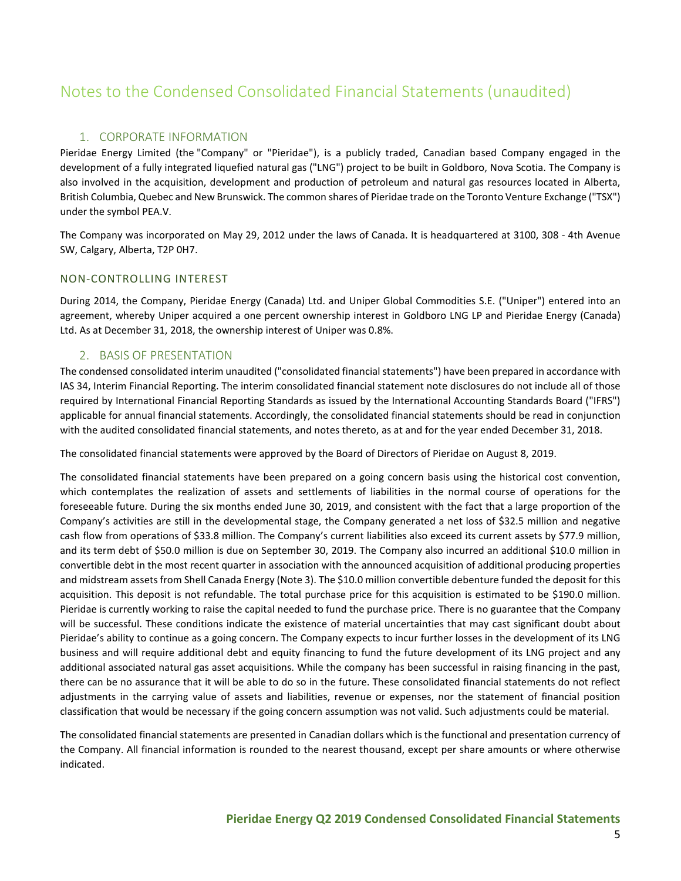# Notes to the Condensed Consolidated Financial Statements (unaudited)

## 1. CORPORATE INFORMATION

Pieridae Energy Limited (the "Company" or "Pieridae"), is a publicly traded, Canadian based Company engaged in the development of a fully integrated liquefied natural gas ("LNG") project to be built in Goldboro, Nova Scotia. The Company is also involved in the acquisition, development and production of petroleum and natural gas resources located in Alberta, British Columbia, Quebec and New Brunswick. The common shares of Pieridae trade on the Toronto Venture Exchange ("TSX") under the symbol PEA.V.

The Company was incorporated on May 29, 2012 under the laws of Canada. It is headquartered at 3100, 308 - 4th Avenue SW, Calgary, Alberta, T2P 0H7.

#### NON-CONTROLLING INTEREST

During 2014, the Company, Pieridae Energy (Canada) Ltd. and Uniper Global Commodities S.E. ("Uniper") entered into an agreement, whereby Uniper acquired a one percent ownership interest in Goldboro LNG LP and Pieridae Energy (Canada) Ltd. As at December 31, 2018, the ownership interest of Uniper was 0.8%.

## 2. BASIS OF PRESENTATION

The condensed consolidated interim unaudited ("consolidated financial statements") have been prepared in accordance with IAS 34, Interim Financial Reporting. The interim consolidated financial statement note disclosures do not include all of those required by International Financial Reporting Standards as issued by the International Accounting Standards Board ("IFRS") applicable for annual financial statements. Accordingly, the consolidated financial statements should be read in conjunction with the audited consolidated financial statements, and notes thereto, as at and for the year ended December 31, 2018.

The consolidated financial statements were approved by the Board of Directors of Pieridae on August 8, 2019.

The consolidated financial statements have been prepared on a going concern basis using the historical cost convention, which contemplates the realization of assets and settlements of liabilities in the normal course of operations for the foreseeable future. During the six months ended June 30, 2019, and consistent with the fact that a large proportion of the Company's activities are still in the developmental stage, the Company generated a net loss of \$32.5 million and negative cash flow from operations of \$33.8 million. The Company's current liabilities also exceed its current assets by \$77.9 million, and its term debt of \$50.0 million is due on September 30, 2019. The Company also incurred an additional \$10.0 million in convertible debt in the most recent quarter in association with the announced acquisition of additional producing properties and midstream assets from Shell Canada Energy (Note 3). The \$10.0 million convertible debenture funded the deposit for this acquisition. This deposit is not refundable. The total purchase price for this acquisition is estimated to be \$190.0 million. Pieridae is currently working to raise the capital needed to fund the purchase price. There is no guarantee that the Company will be successful. These conditions indicate the existence of material uncertainties that may cast significant doubt about Pieridae's ability to continue as a going concern. The Company expects to incur further losses in the development of its LNG business and will require additional debt and equity financing to fund the future development of its LNG project and any additional associated natural gas asset acquisitions. While the company has been successful in raising financing in the past, there can be no assurance that it will be able to do so in the future. These consolidated financial statements do not reflect adjustments in the carrying value of assets and liabilities, revenue or expenses, nor the statement of financial position classification that would be necessary if the going concern assumption was not valid. Such adjustments could be material.

The consolidated financial statements are presented in Canadian dollars which is the functional and presentation currency of the Company. All financial information is rounded to the nearest thousand, except per share amounts or where otherwise indicated.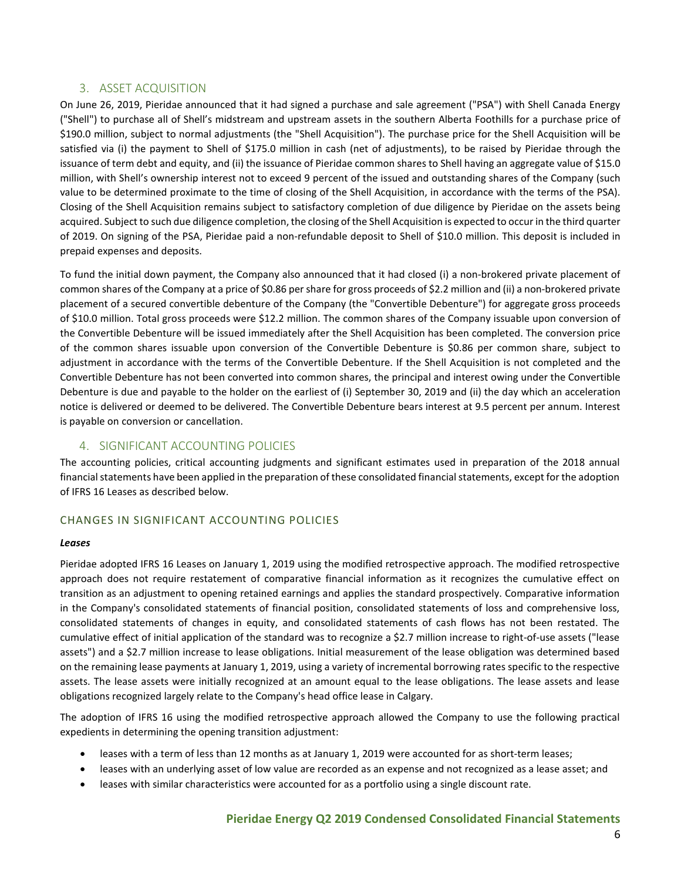## 3. ASSET ACQUISITION

On June 26, 2019, Pieridae announced that it had signed a purchase and sale agreement ("PSA") with Shell Canada Energy ("Shell") to purchase all of Shell's midstream and upstream assets in the southern Alberta Foothills for a purchase price of \$190.0 million, subject to normal adjustments (the "Shell Acquisition"). The purchase price for the Shell Acquisition will be satisfied via (i) the payment to Shell of \$175.0 million in cash (net of adjustments), to be raised by Pieridae through the issuance of term debt and equity, and (ii) the issuance of Pieridae common shares to Shell having an aggregate value of \$15.0 million, with Shell's ownership interest not to exceed 9 percent of the issued and outstanding shares of the Company (such value to be determined proximate to the time of closing of the Shell Acquisition, in accordance with the terms of the PSA). Closing of the Shell Acquisition remains subject to satisfactory completion of due diligence by Pieridae on the assets being acquired. Subject to such due diligence completion, the closing of the Shell Acquisition is expected to occur in the third quarter of 2019. On signing of the PSA, Pieridae paid a non-refundable deposit to Shell of \$10.0 million. This deposit is included in prepaid expenses and deposits.

To fund the initial down payment, the Company also announced that it had closed (i) a non-brokered private placement of common shares of the Company at a price of \$0.86 per share for gross proceeds of \$2.2 million and (ii) a non-brokered private placement of a secured convertible debenture of the Company (the "Convertible Debenture") for aggregate gross proceeds of \$10.0 million. Total gross proceeds were \$12.2 million. The common shares of the Company issuable upon conversion of the Convertible Debenture will be issued immediately after the Shell Acquisition has been completed. The conversion price of the common shares issuable upon conversion of the Convertible Debenture is \$0.86 per common share, subject to adjustment in accordance with the terms of the Convertible Debenture. If the Shell Acquisition is not completed and the Convertible Debenture has not been converted into common shares, the principal and interest owing under the Convertible Debenture is due and payable to the holder on the earliest of (i) September 30, 2019 and (ii) the day which an acceleration notice is delivered or deemed to be delivered. The Convertible Debenture bears interest at 9.5 percent per annum. Interest is payable on conversion or cancellation.

# 4. SIGNIFICANT ACCOUNTING POLICIES

The accounting policies, critical accounting judgments and significant estimates used in preparation of the 2018 annual financial statements have been applied in the preparation of these consolidated financial statements, except for the adoption of IFRS 16 Leases as described below.

# CHANGES IN SIGNIFICANT ACCOUNTING POLICIES

#### *Leases*

Pieridae adopted IFRS 16 Leases on January 1, 2019 using the modified retrospective approach. The modified retrospective approach does not require restatement of comparative financial information as it recognizes the cumulative effect on transition as an adjustment to opening retained earnings and applies the standard prospectively. Comparative information in the Company's consolidated statements of financial position, consolidated statements of loss and comprehensive loss, consolidated statements of changes in equity, and consolidated statements of cash flows has not been restated. The cumulative effect of initial application of the standard was to recognize a \$2.7 million increase to right-of-use assets ("lease assets") and a \$2.7 million increase to lease obligations. Initial measurement of the lease obligation was determined based on the remaining lease payments at January 1, 2019, using a variety of incremental borrowing rates specific to the respective assets. The lease assets were initially recognized at an amount equal to the lease obligations. The lease assets and lease obligations recognized largely relate to the Company's head office lease in Calgary.

The adoption of IFRS 16 using the modified retrospective approach allowed the Company to use the following practical expedients in determining the opening transition adjustment:

- leases with a term of less than 12 months as at January 1, 2019 were accounted for as short-term leases;
- leases with an underlying asset of low value are recorded as an expense and not recognized as a lease asset; and
- leases with similar characteristics were accounted for as a portfolio using a single discount rate.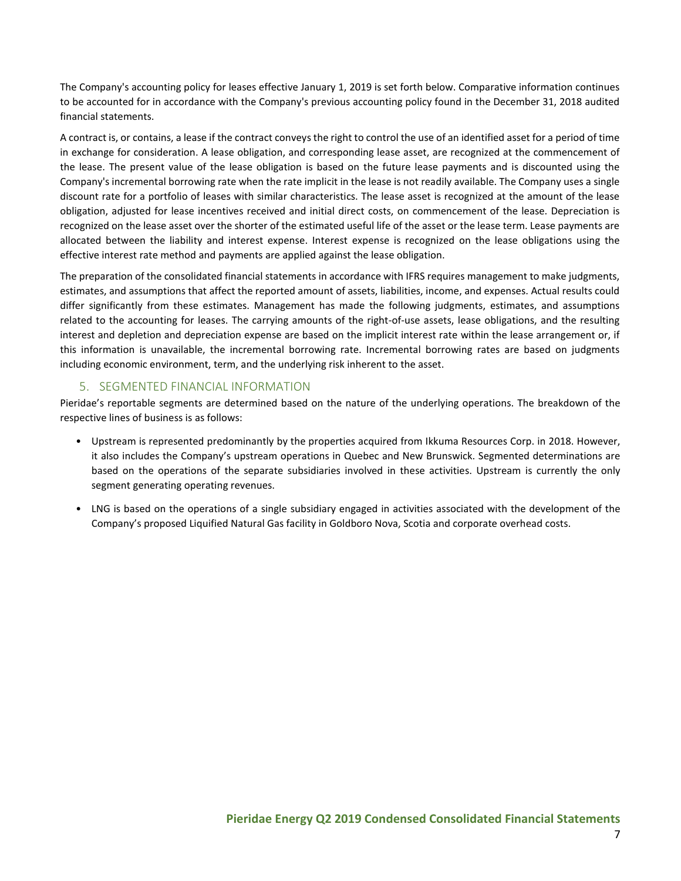The Company's accounting policy for leases effective January 1, 2019 is set forth below. Comparative information continues to be accounted for in accordance with the Company's previous accounting policy found in the December 31, 2018 audited financial statements.

A contract is, or contains, a lease if the contract conveys the right to control the use of an identified asset for a period of time in exchange for consideration. A lease obligation, and corresponding lease asset, are recognized at the commencement of the lease. The present value of the lease obligation is based on the future lease payments and is discounted using the Company's incremental borrowing rate when the rate implicit in the lease is not readily available. The Company uses a single discount rate for a portfolio of leases with similar characteristics. The lease asset is recognized at the amount of the lease obligation, adjusted for lease incentives received and initial direct costs, on commencement of the lease. Depreciation is recognized on the lease asset over the shorter of the estimated useful life of the asset or the lease term. Lease payments are allocated between the liability and interest expense. Interest expense is recognized on the lease obligations using the effective interest rate method and payments are applied against the lease obligation.

The preparation of the consolidated financial statements in accordance with IFRS requires management to make judgments, estimates, and assumptions that affect the reported amount of assets, liabilities, income, and expenses. Actual results could differ significantly from these estimates. Management has made the following judgments, estimates, and assumptions related to the accounting for leases. The carrying amounts of the right-of-use assets, lease obligations, and the resulting interest and depletion and depreciation expense are based on the implicit interest rate within the lease arrangement or, if this information is unavailable, the incremental borrowing rate. Incremental borrowing rates are based on judgments including economic environment, term, and the underlying risk inherent to the asset.

## 5. SEGMENTED FINANCIAL INFORMATION

Pieridae's reportable segments are determined based on the nature of the underlying operations. The breakdown of the respective lines of business is as follows:

- Upstream is represented predominantly by the properties acquired from Ikkuma Resources Corp. in 2018. However, it also includes the Company's upstream operations in Quebec and New Brunswick. Segmented determinations are based on the operations of the separate subsidiaries involved in these activities. Upstream is currently the only segment generating operating revenues.
- LNG is based on the operations of a single subsidiary engaged in activities associated with the development of the Company's proposed Liquified Natural Gas facility in Goldboro Nova, Scotia and corporate overhead costs.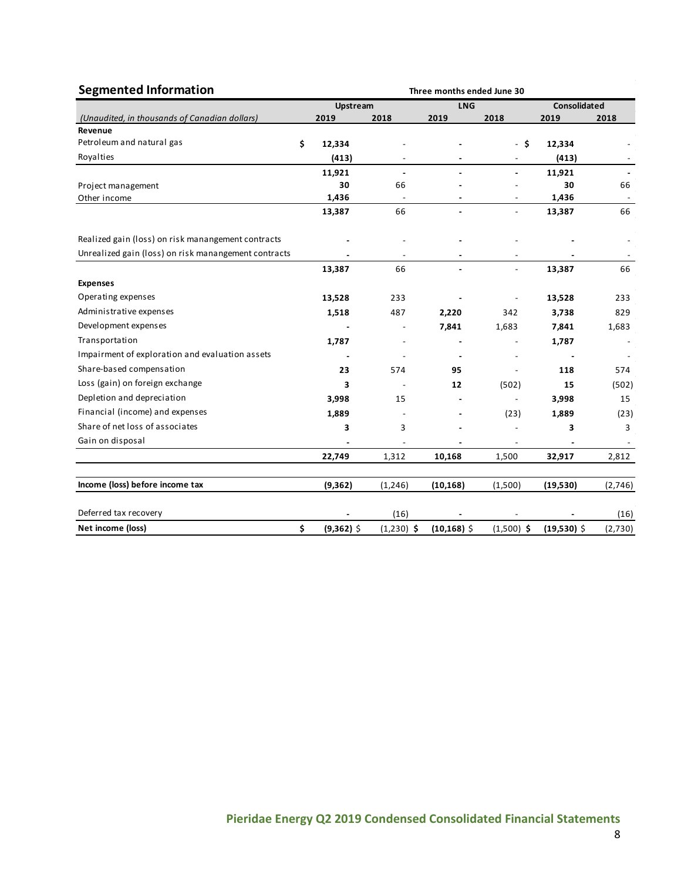| <b>Segmented Information</b>                         | Three months ended June 30 |                |                          |                          |                          |               |         |
|------------------------------------------------------|----------------------------|----------------|--------------------------|--------------------------|--------------------------|---------------|---------|
|                                                      |                            | Upstream       |                          | <b>LNG</b>               |                          | Consolidated  |         |
| (Unaudited, in thousands of Canadian dollars)        |                            | 2019           | 2018                     | 2019                     | 2018                     | 2019          | 2018    |
| Revenue                                              |                            |                |                          |                          |                          |               |         |
| Petroleum and natural gas                            | \$                         | 12,334         |                          |                          | -\$                      | 12,334        |         |
| Royalties                                            |                            | (413)          | $\overline{\phantom{a}}$ | $\overline{\phantom{a}}$ | $\overline{\phantom{a}}$ | (413)         |         |
|                                                      |                            | 11,921         | $\overline{\phantom{a}}$ | $\overline{a}$           | $\blacksquare$           | 11,921        |         |
| Project management                                   |                            | 30             | 66                       |                          |                          | 30            | 66      |
| Other income                                         |                            | 1,436          |                          |                          |                          | 1,436         |         |
|                                                      |                            | 13,387         | 66                       |                          |                          | 13,387        | 66      |
| Realized gain (loss) on risk manangement contracts   |                            |                |                          |                          |                          |               |         |
| Unrealized gain (loss) on risk manangement contracts |                            | $\overline{a}$ | $\overline{\phantom{a}}$ | $\overline{a}$           | $\overline{\phantom{a}}$ |               |         |
|                                                      |                            | 13,387         | 66                       | $\blacksquare$           | $\blacksquare$           | 13,387        | 66      |
| <b>Expenses</b>                                      |                            |                |                          |                          |                          |               |         |
| Operating expenses                                   |                            | 13,528         | 233                      |                          |                          | 13,528        | 233     |
| Administrative expenses                              |                            | 1,518          | 487                      | 2,220                    | 342                      | 3,738         | 829     |
| Development expenses                                 |                            |                |                          | 7,841                    | 1,683                    | 7,841         | 1,683   |
| Transportation                                       |                            | 1,787          |                          |                          |                          | 1,787         |         |
| Impairment of exploration and evaluation assets      |                            |                |                          |                          |                          |               |         |
| Share-based compensation                             |                            | 23             | 574                      | 95                       | $\overline{\phantom{a}}$ | 118           | 574     |
| Loss (gain) on foreign exchange                      |                            | 3              |                          | 12                       | (502)                    | 15            | (502)   |
| Depletion and depreciation                           |                            | 3,998          | 15                       | $\blacksquare$           |                          | 3,998         | 15      |
| Financial (income) and expenses                      |                            | 1,889          |                          |                          | (23)                     | 1,889         | (23)    |
| Share of net loss of associates                      |                            | 3              | 3                        |                          |                          | 3             | 3       |
| Gain on disposal                                     |                            |                |                          |                          | $\overline{\phantom{a}}$ |               |         |
|                                                      |                            | 22,749         | 1,312                    | 10,168                   | 1,500                    | 32,917        | 2,812   |
| Income (loss) before income tax                      |                            | (9, 362)       | (1, 246)                 | (10, 168)                | (1,500)                  | (19,530)      | (2,746) |
| Deferred tax recovery                                |                            |                | (16)                     |                          |                          |               | (16)    |
| Net income (loss)                                    | \$                         | $(9,362)$ \$   | $(1,230)$ \$             | $(10, 168)$ \$           | $(1,500)$ \$             | $(19,530)$ \$ | (2,730) |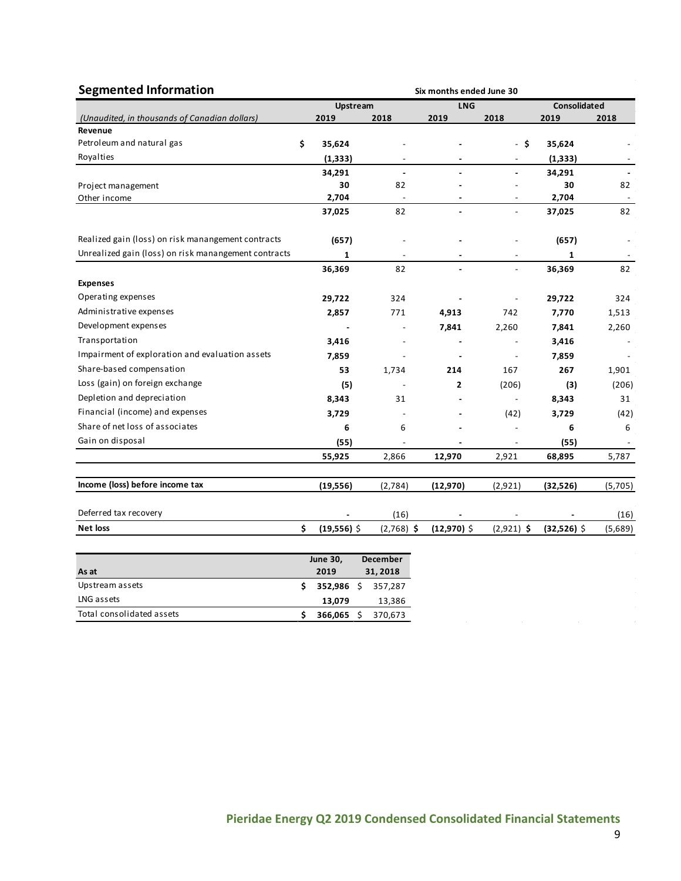| <b>Segmented Information</b>                         |                         |                             | Six months ended June 30 |                          |                     |         |
|------------------------------------------------------|-------------------------|-----------------------------|--------------------------|--------------------------|---------------------|---------|
|                                                      | Upstream                |                             | <b>LNG</b>               |                          | <b>Consolidated</b> |         |
| (Unaudited, in thousands of Canadian dollars)        | 2019                    | 2018                        | 2019                     | 2018                     | 2019                | 2018    |
| Revenue                                              |                         |                             |                          |                          |                     |         |
| Petroleum and natural gas                            | \$<br>35,624            |                             |                          | - \$                     | 35,624              |         |
| Royalties                                            | (1, 333)                |                             |                          |                          | (1, 333)            |         |
|                                                      | 34,291                  | $\overline{\phantom{a}}$    | $\overline{a}$           | $\blacksquare$           | 34,291              |         |
| Project management                                   | 30                      | 82                          |                          |                          | 30                  | 82      |
| Other income                                         | 2,704                   |                             |                          |                          | 2,704               |         |
|                                                      | 37,025                  | 82                          |                          | $\overline{a}$           | 37,025              | 82      |
| Realized gain (loss) on risk manangement contracts   | (657)                   |                             |                          |                          | (657)               |         |
| Unrealized gain (loss) on risk manangement contracts | 1                       |                             |                          |                          | 1                   |         |
|                                                      | 36,369                  | 82                          |                          |                          | 36,369              | 82      |
| <b>Expenses</b>                                      |                         |                             |                          |                          |                     |         |
| Operating expenses                                   | 29,722                  | 324                         |                          |                          | 29,722              | 324     |
| Administrative expenses                              | 2,857                   | 771                         | 4,913                    | 742                      | 7,770               | 1,513   |
| Development expenses                                 |                         |                             | 7,841                    | 2,260                    | 7,841               | 2,260   |
| Transportation                                       | 3,416                   |                             |                          |                          | 3,416               |         |
| Impairment of exploration and evaluation assets      | 7,859                   |                             |                          | $\overline{\phantom{a}}$ | 7,859               |         |
| Share-based compensation                             | 53                      | 1,734                       | 214                      | 167                      | 267                 | 1,901   |
| Loss (gain) on foreign exchange                      | (5)                     |                             | 2                        | (206)                    | (3)                 | (206)   |
| Depletion and depreciation                           | 8,343                   | 31                          |                          | $\overline{\phantom{a}}$ | 8,343               | 31      |
| Financial (income) and expenses                      | 3,729                   |                             |                          | (42)                     | 3,729               | (42)    |
| Share of net loss of associates                      | 6                       | 6                           |                          |                          | 6                   | 6       |
| Gain on disposal                                     | (55)                    |                             | $\blacksquare$           |                          | (55)                |         |
|                                                      | 55,925                  | 2,866                       | 12,970                   | 2,921                    | 68,895              | 5,787   |
| Income (loss) before income tax                      | (19, 556)               | (2,784)                     | (12, 970)                | (2,921)                  | (32, 526)           | (5,705) |
|                                                      |                         |                             |                          |                          |                     |         |
| Deferred tax recovery                                |                         | (16)                        |                          |                          |                     | (16)    |
| <b>Net loss</b>                                      | \$<br>$(19,556)$ \$     | $(2,768)$ \$                | $(12,970)$ \$            | $(2,921)$ \$             | $(32,526)$ \$       | (5,689) |
|                                                      |                         |                             |                          |                          |                     |         |
| As at                                                | <b>June 30,</b><br>2019 | <b>December</b><br>31, 2018 |                          |                          |                     |         |
| Upstream assets                                      | \$<br>$352,986$ \$      | 357,287                     |                          |                          |                     |         |
| LNG assets                                           | 13,079                  | 13,386                      |                          |                          |                     |         |
| Total consolidated assets                            | \$<br>$366,065$ \$      | 370,673                     |                          |                          |                     |         |

 $\mathcal{A}$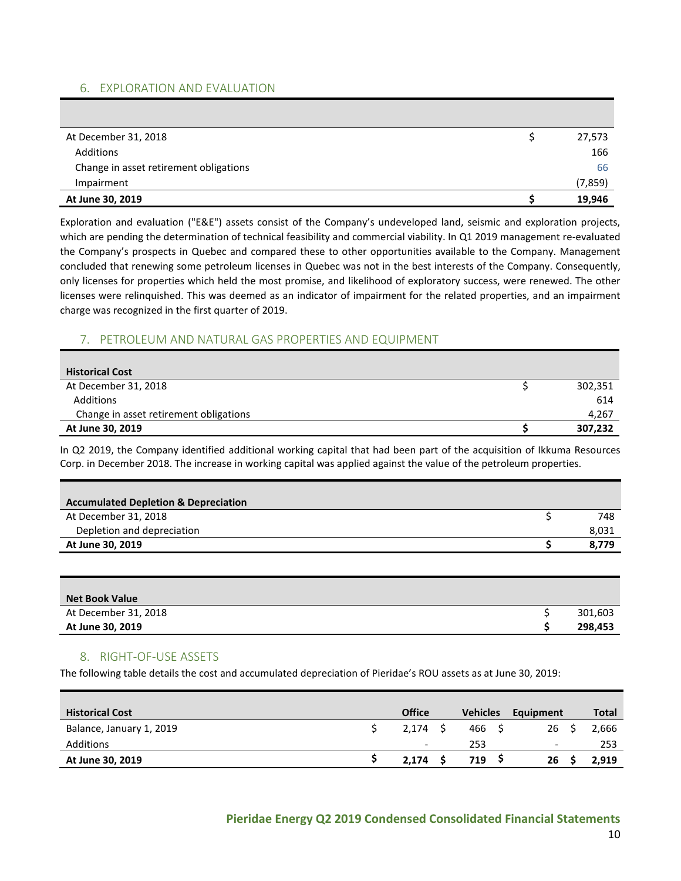## 6. EXPLORATION AND EVALUATION

| At December 31, 2018                   | 27,573  |
|----------------------------------------|---------|
| Additions                              | 166     |
| Change in asset retirement obligations | 66      |
| Impairment                             | (7,859) |
| At June 30, 2019                       | 19,946  |

Exploration and evaluation ("E&E") assets consist of the Company's undeveloped land, seismic and exploration projects, which are pending the determination of technical feasibility and commercial viability. In Q1 2019 management re-evaluated the Company's prospects in Quebec and compared these to other opportunities available to the Company. Management concluded that renewing some petroleum licenses in Quebec was not in the best interests of the Company. Consequently, only licenses for properties which held the most promise, and likelihood of exploratory success, were renewed. The other licenses were relinquished. This was deemed as an indicator of impairment for the related properties, and an impairment charge was recognized in the first quarter of 2019.

# 7. PETROLEUM AND NATURAL GAS PROPERTIES AND EQUIPMENT

| <b>Historical Cost</b>                 |         |
|----------------------------------------|---------|
| At December 31, 2018                   | 302,351 |
| Additions                              | 614     |
| Change in asset retirement obligations | 4,267   |
| At June 30, 2019                       | 307,232 |

In Q2 2019, the Company identified additional working capital that had been part of the acquisition of Ikkuma Resources Corp. in December 2018. The increase in working capital was applied against the value of the petroleum properties.

| <b>Accumulated Depletion &amp; Depreciation</b> |       |
|-------------------------------------------------|-------|
| At December 31, 2018                            | 748   |
| Depletion and depreciation                      | 8,031 |
| At June 30, 2019                                | 8.779 |

| <b>Net Book Value</b> |         |
|-----------------------|---------|
| At December 31, 2018  | 301,603 |
| At June 30, 2019      | 298,453 |

# 8. RIGHT-OF-USE ASSETS

The following table details the cost and accumulated depreciation of Pieridae's ROU assets as at June 30, 2019:

| <b>Historical Cost</b>   | <b>Office</b>            | <b>Vehicles</b> | Equipment | <b>Total</b> |
|--------------------------|--------------------------|-----------------|-----------|--------------|
| Balance, January 1, 2019 | 2.174                    | 466             | 26        | 2,666        |
| Additions                | $\overline{\phantom{a}}$ | 253             | -         | 253          |
| At June 30, 2019         | 2.174                    | 719             | 26        | 2,919        |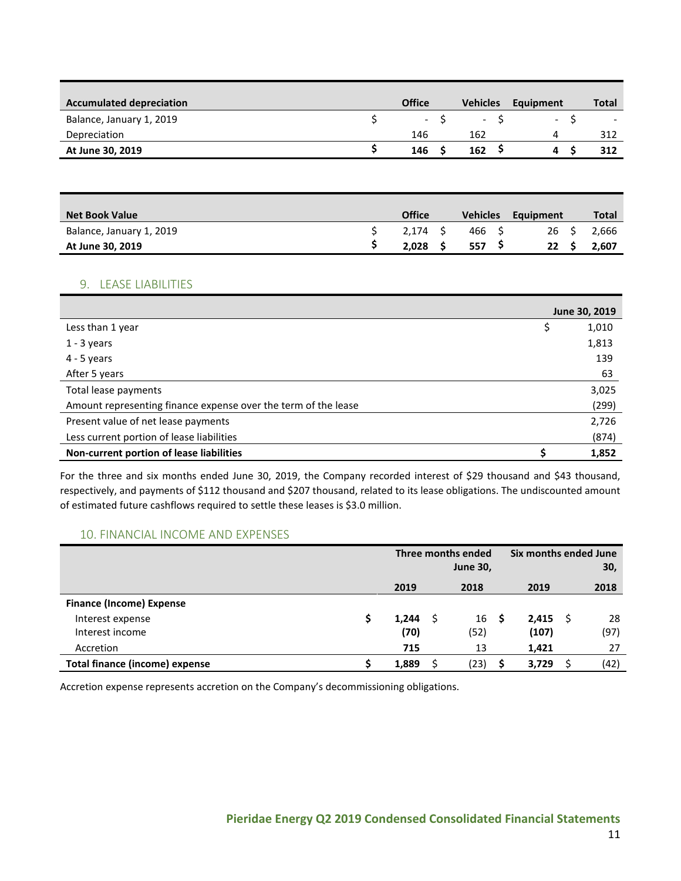| <b>Accumulated depreciation</b> | <b>Office</b> | <b>Vehicles</b>          | Equipment                | <b>Total</b> |
|---------------------------------|---------------|--------------------------|--------------------------|--------------|
| Balance, January 1, 2019        | $\sim 100$    | $\overline{\phantom{a}}$ | $\overline{\phantom{0}}$ | -            |
| Depreciation                    | 146           | 162                      | 4                        | 312          |
| At June 30, 2019                | 146           | 162                      | д                        | 312          |

| <b>Net Book Value</b>    | <b>Office</b>   | <b>Vehicles</b> | Equipment       | Total |
|--------------------------|-----------------|-----------------|-----------------|-------|
| Balance, January 1, 2019 | $2.174 \quad S$ | 466 S           | 26 <sub>5</sub> | 2,666 |
| At June 30, 2019         | 2,028           | 557             | 22              | 2,607 |

## 9. LEASE LIABILITIES

|                                                                | June 30, 2019 |
|----------------------------------------------------------------|---------------|
| Less than 1 year                                               | 1,010         |
| $1 - 3$ years                                                  | 1,813         |
| $4 - 5$ years                                                  | 139           |
| After 5 years                                                  | 63            |
| Total lease payments                                           | 3,025         |
| Amount representing finance expense over the term of the lease | (299)         |
| Present value of net lease payments                            | 2,726         |
| Less current portion of lease liabilities                      | (874)         |
| Non-current portion of lease liabilities                       | 1,852         |

For the three and six months ended June 30, 2019, the Company recorded interest of \$29 thousand and \$43 thousand, respectively, and payments of \$112 thousand and \$207 thousand, related to its lease obligations. The undiscounted amount of estimated future cashflows required to settle these leases is \$3.0 million.

## 10. FINANCIAL INCOME AND EXPENSES

|                                       | Three months ended<br><b>June 30,</b> |  |                 |  |       | Six months ended June<br>30, |      |  |
|---------------------------------------|---------------------------------------|--|-----------------|--|-------|------------------------------|------|--|
|                                       | 2019                                  |  | 2018            |  | 2019  |                              | 2018 |  |
| <b>Finance (Income) Expense</b>       |                                       |  |                 |  |       |                              |      |  |
| Interest expense                      | 1,244                                 |  | 16 <sub>5</sub> |  | 2,415 |                              | 28   |  |
| Interest income                       | (70)                                  |  | (52)            |  | (107) |                              | (97) |  |
| Accretion                             | 715                                   |  | 13              |  | 1,421 |                              | 27   |  |
| <b>Total finance (income) expense</b> | 1,889                                 |  | (23)            |  | 3,729 |                              | (42) |  |

Accretion expense represents accretion on the Company's decommissioning obligations.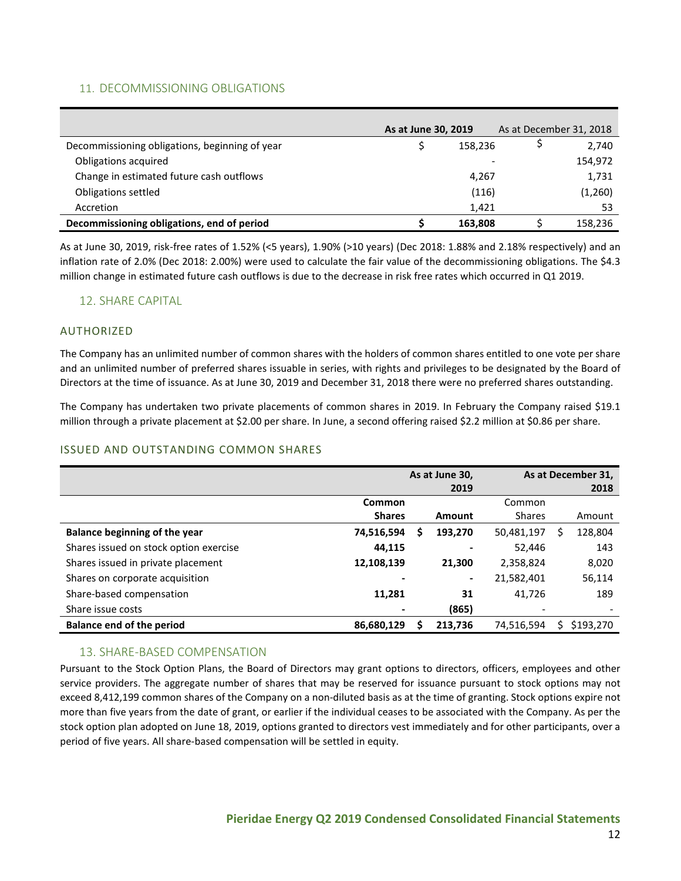## 11. DECOMMISSIONING OBLIGATIONS

|                                                | As at June 30, 2019 |         | As at December 31, 2018 |
|------------------------------------------------|---------------------|---------|-------------------------|
| Decommissioning obligations, beginning of year |                     | 158,236 | 2,740                   |
| Obligations acquired                           |                     |         | 154,972                 |
| Change in estimated future cash outflows       |                     | 4,267   | 1,731                   |
| <b>Obligations settled</b>                     |                     | (116)   | (1,260)                 |
| Accretion                                      |                     | 1.421   | 53                      |
| Decommissioning obligations, end of period     |                     | 163.808 | 158,236                 |

As at June 30, 2019, risk-free rates of 1.52% (<5 years), 1.90% (>10 years) (Dec 2018: 1.88% and 2.18% respectively) and an inflation rate of 2.0% (Dec 2018: 2.00%) were used to calculate the fair value of the decommissioning obligations. The \$4.3 million change in estimated future cash outflows is due to the decrease in risk free rates which occurred in Q1 2019.

## 12. SHARE CAPITAL

#### AUTHORIZED

The Company has an unlimited number of common shares with the holders of common shares entitled to one vote per share and an unlimited number of preferred shares issuable in series, with rights and privileges to be designated by the Board of Directors at the time of issuance. As at June 30, 2019 and December 31, 2018 there were no preferred shares outstanding.

The Company has undertaken two private placements of common shares in 2019. In February the Company raised \$19.1 million through a private placement at \$2.00 per share. In June, a second offering raised \$2.2 million at \$0.86 per share.

## ISSUED AND OUTSTANDING COMMON SHARES

|                                        |                         |   | As at June 30,<br>2019 |                         |   | As at December 31,<br>2018 |
|----------------------------------------|-------------------------|---|------------------------|-------------------------|---|----------------------------|
|                                        | Common<br><b>Shares</b> |   | Amount                 | Common<br><b>Shares</b> |   | Amount                     |
| <b>Balance beginning of the year</b>   | 74,516,594              | S | 193.270                | 50,481,197              | S | 128,804                    |
| Shares issued on stock option exercise | 44,115                  |   |                        | 52,446                  |   | 143                        |
| Shares issued in private placement     | 12,108,139              |   | 21.300                 | 2,358,824               |   | 8,020                      |
| Shares on corporate acquisition        |                         |   | $\blacksquare$         | 21,582,401              |   | 56,114                     |
| Share-based compensation               | 11,281                  |   | 31                     | 41,726                  |   | 189                        |
| Share issue costs                      |                         |   | (865)                  | ٠                       |   |                            |
| <b>Balance end of the period</b>       | 86,680,129              |   | 213,736                | 74,516,594              |   | \$193,270                  |

# 13. SHARE-BASED COMPENSATION

Pursuant to the Stock Option Plans, the Board of Directors may grant options to directors, officers, employees and other service providers. The aggregate number of shares that may be reserved for issuance pursuant to stock options may not exceed 8,412,199 common shares of the Company on a non-diluted basis as at the time of granting. Stock options expire not more than five years from the date of grant, or earlier if the individual ceases to be associated with the Company. As per the stock option plan adopted on June 18, 2019, options granted to directors vest immediately and for other participants, over a period of five years. All share-based compensation will be settled in equity.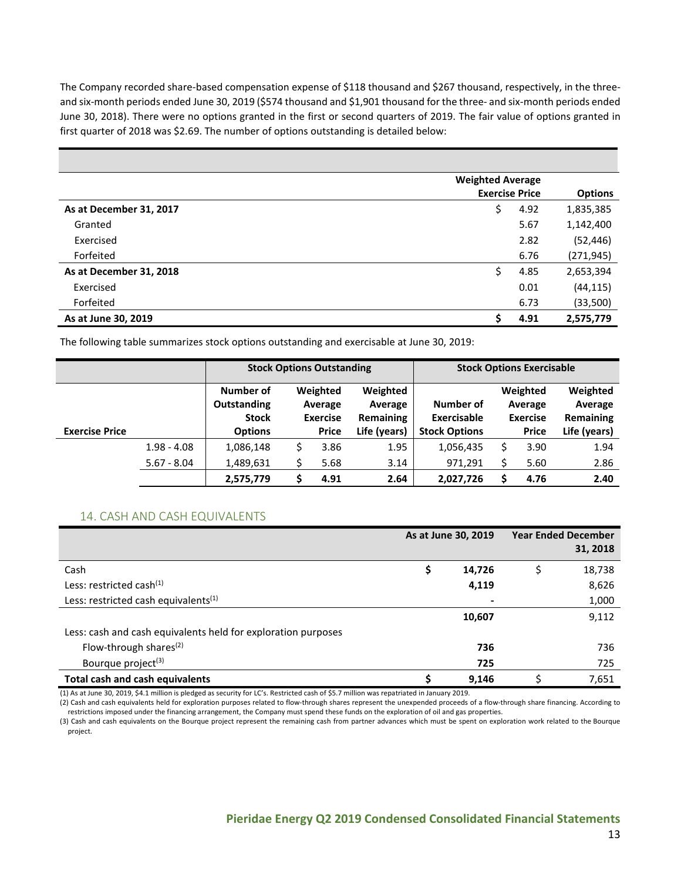The Company recorded share-based compensation expense of \$118 thousand and \$267 thousand, respectively, in the threeand six-month periods ended June 30, 2019 (\$574 thousand and \$1,901 thousand for the three- and six-month periods ended June 30, 2018). There were no options granted in the first or second quarters of 2019. The fair value of options granted in first quarter of 2018 was \$2.69. The number of options outstanding is detailed below:

|                         | <b>Weighted Average</b> |      |                |
|-------------------------|-------------------------|------|----------------|
|                         | <b>Exercise Price</b>   |      | <b>Options</b> |
| As at December 31, 2017 | \$                      | 4.92 | 1,835,385      |
| Granted                 |                         | 5.67 | 1,142,400      |
| Exercised               |                         | 2.82 | (52, 446)      |
| Forfeited               |                         | 6.76 | (271, 945)     |
| As at December 31, 2018 | \$                      | 4.85 | 2,653,394      |
| Exercised               |                         | 0.01 | (44, 115)      |
| Forfeited               |                         | 6.73 | (33,500)       |
| As at June 30, 2019     | Ś                       | 4.91 | 2,575,779      |

The following table summarizes stock options outstanding and exercisable at June 30, 2019:

|                       |               | <b>Stock Options Outstanding</b>                           |    |                                                        |                                                  | <b>Stock Options Exercisable</b>                 |  |                                                        |                                                  |
|-----------------------|---------------|------------------------------------------------------------|----|--------------------------------------------------------|--------------------------------------------------|--------------------------------------------------|--|--------------------------------------------------------|--------------------------------------------------|
| <b>Exercise Price</b> |               | Number of<br>Outstanding<br><b>Stock</b><br><b>Options</b> |    | Weighted<br>Average<br><b>Exercise</b><br><b>Price</b> | Weighted<br>Average<br>Remaining<br>Life (years) | Number of<br>Exercisable<br><b>Stock Options</b> |  | Weighted<br>Average<br><b>Exercise</b><br><b>Price</b> | Weighted<br>Average<br>Remaining<br>Life (years) |
|                       | $1.98 - 4.08$ | 1,086,148                                                  | \$ | 3.86                                                   | 1.95                                             | 1,056,435                                        |  | 3.90                                                   | 1.94                                             |
|                       | $5.67 - 8.04$ | 1,489,631                                                  |    | 5.68                                                   | 3.14                                             | 971,291                                          |  | 5.60                                                   | 2.86                                             |
|                       |               | 2,575,779                                                  |    | 4.91                                                   | 2.64                                             | 2,027,726                                        |  | 4.76                                                   | 2.40                                             |

## 14. CASH AND CASH EQUIVALENTS

|                                                               | As at June 30, 2019 |   | <b>Year Ended December</b><br>31, 2018 |
|---------------------------------------------------------------|---------------------|---|----------------------------------------|
| Cash                                                          | 14,726              | Ś | 18,738                                 |
| Less: restricted cash <sup>(1)</sup>                          | 4,119               |   | 8,626                                  |
| Less: restricted cash equivalents <sup>(1)</sup>              |                     |   | 1,000                                  |
|                                                               | 10,607              |   | 9,112                                  |
| Less: cash and cash equivalents held for exploration purposes |                     |   |                                        |
| Flow-through shares <sup>(2)</sup>                            | 736                 |   | 736                                    |
| Bourque project <sup>(3)</sup>                                | 725                 |   | 725                                    |
| <b>Total cash and cash equivalents</b>                        | 9,146               |   | 7,651                                  |

(1) As at June 30, 2019, \$4.1 million is pledged as security for LC's. Restricted cash of \$5.7 million was repatriated in January 2019.

(2) Cash and cash equivalents held for exploration purposes related to flow-through shares represent the unexpended proceeds of a flow-through share financing. According to

restrictions imposed under the financing arrangement, the Company must spend these funds on the exploration of oil and gas properties.

(3) Cash and cash equivalents on the Bourque project represent the remaining cash from partner advances which must be spent on exploration work related to the Bourque project.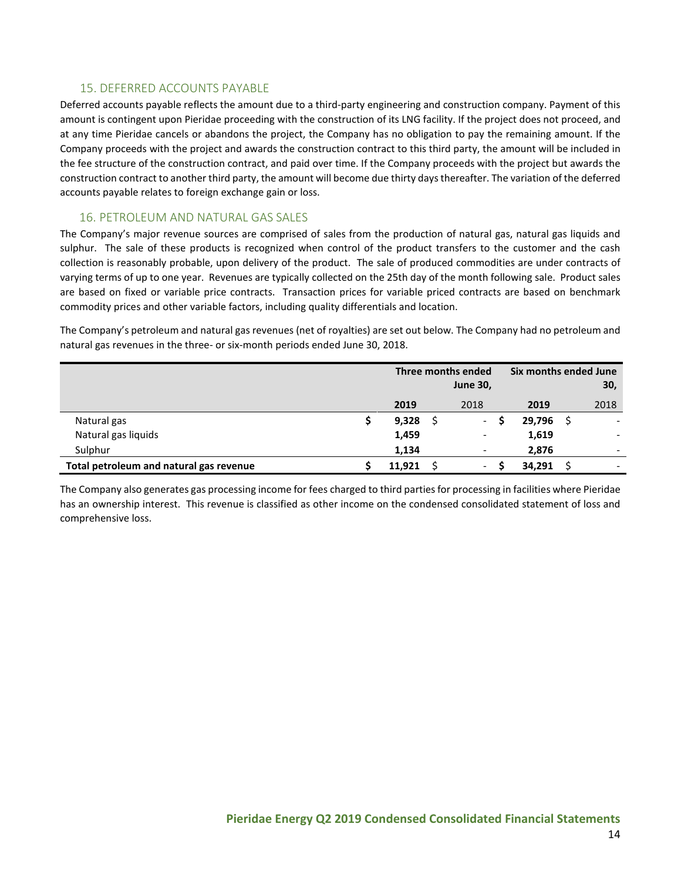## 15. DEFERRED ACCOUNTS PAYABLE

Deferred accounts payable reflects the amount due to a third-party engineering and construction company. Payment of this amount is contingent upon Pieridae proceeding with the construction of its LNG facility. If the project does not proceed, and at any time Pieridae cancels or abandons the project, the Company has no obligation to pay the remaining amount. If the Company proceeds with the project and awards the construction contract to this third party, the amount will be included in the fee structure of the construction contract, and paid over time. If the Company proceeds with the project but awards the construction contract to another third party, the amount will become due thirty days thereafter. The variation of the deferred accounts payable relates to foreign exchange gain or loss.

#### 16. PETROLEUM AND NATURAL GAS SALES

The Company's major revenue sources are comprised of sales from the production of natural gas, natural gas liquids and sulphur. The sale of these products is recognized when control of the product transfers to the customer and the cash collection is reasonably probable, upon delivery of the product. The sale of produced commodities are under contracts of varying terms of up to one year. Revenues are typically collected on the 25th day of the month following sale. Product sales are based on fixed or variable price contracts. Transaction prices for variable priced contracts are based on benchmark commodity prices and other variable factors, including quality differentials and location.

The Company's petroleum and natural gas revenues (net of royalties) are set out below. The Company had no petroleum and natural gas revenues in the three- or six-month periods ended June 30, 2018.

|                                         |        | Three months ended<br><b>June 30,</b> |                          |  |        | Six months ended June<br>30, |  |
|-----------------------------------------|--------|---------------------------------------|--------------------------|--|--------|------------------------------|--|
|                                         | 2019   |                                       | 2018                     |  | 2019   | 2018                         |  |
| Natural gas                             | 9,328  |                                       | $\sim$                   |  | 29,796 |                              |  |
| Natural gas liquids                     | 1,459  |                                       | $\overline{\phantom{a}}$ |  | 1,619  |                              |  |
| Sulphur                                 | 1,134  |                                       | $\overline{\phantom{a}}$ |  | 2,876  | $\overline{\phantom{a}}$     |  |
| Total petroleum and natural gas revenue | 11,921 |                                       | $\overline{\phantom{0}}$ |  | 34,291 |                              |  |

The Company also generates gas processing income for fees charged to third parties for processing in facilities where Pieridae has an ownership interest. This revenue is classified as other income on the condensed consolidated statement of loss and comprehensive loss.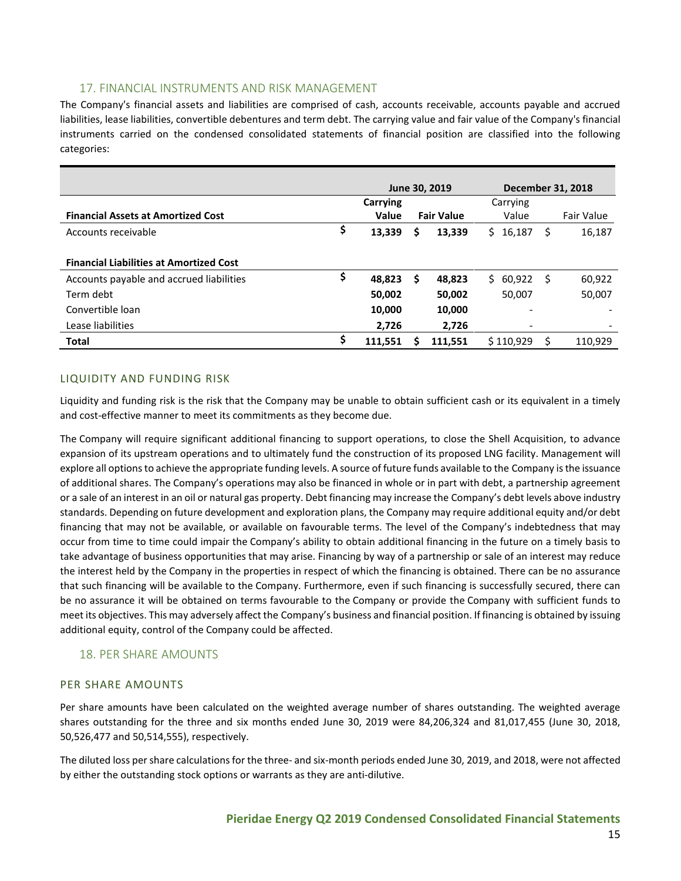## 17. FINANCIAL INSTRUMENTS AND RISK MANAGEMENT

The Company's financial assets and liabilities are comprised of cash, accounts receivable, accounts payable and accrued liabilities, lease liabilities, convertible debentures and term debt. The carrying value and fair value of the Company's financial instruments carried on the condensed consolidated statements of financial position are classified into the following categories:

|                                                |               |   | June 30, 2019     | <b>December 31, 2018</b> |                          |   |                   |
|------------------------------------------------|---------------|---|-------------------|--------------------------|--------------------------|---|-------------------|
|                                                | Carrying      |   |                   | Carrying                 |                          |   |                   |
| <b>Financial Assets at Amortized Cost</b>      | Value         |   | <b>Fair Value</b> |                          | Value                    |   | <b>Fair Value</b> |
| Accounts receivable                            | \$<br>13,339  | S | 13,339            |                          | \$16,187                 | S | 16,187            |
| <b>Financial Liabilities at Amortized Cost</b> |               |   |                   |                          |                          |   |                   |
| Accounts payable and accrued liabilities       | \$<br>48,823  | S | 48,823            |                          | \$60,922                 | S | 60,922            |
| Term debt                                      | 50,002        |   | 50,002            |                          | 50.007                   |   | 50,007            |
| Convertible loan                               | 10,000        |   | 10,000            |                          |                          |   |                   |
| Lease liabilities                              | 2.726         |   | 2.726             |                          | $\overline{\phantom{a}}$ |   |                   |
| <b>Total</b>                                   | \$<br>111.551 |   | 111.551           |                          | \$110.929                |   | 110.929           |

#### LIQUIDITY AND FUNDING RISK

Liquidity and funding risk is the risk that the Company may be unable to obtain sufficient cash or its equivalent in a timely and cost-effective manner to meet its commitments as they become due.

The Company will require significant additional financing to support operations, to close the Shell Acquisition, to advance expansion of its upstream operations and to ultimately fund the construction of its proposed LNG facility. Management will explore all options to achieve the appropriate funding levels. A source of future funds available to the Company is the issuance of additional shares. The Company's operations may also be financed in whole or in part with debt, a partnership agreement or a sale of an interest in an oil or natural gas property. Debt financing may increase the Company's debt levels above industry standards. Depending on future development and exploration plans, the Company may require additional equity and/or debt financing that may not be available, or available on favourable terms. The level of the Company's indebtedness that may occur from time to time could impair the Company's ability to obtain additional financing in the future on a timely basis to take advantage of business opportunities that may arise. Financing by way of a partnership or sale of an interest may reduce the interest held by the Company in the properties in respect of which the financing is obtained. There can be no assurance that such financing will be available to the Company. Furthermore, even if such financing is successfully secured, there can be no assurance it will be obtained on terms favourable to the Company or provide the Company with sufficient funds to meet its objectives. This may adversely affect the Company's business and financial position. If financing is obtained by issuing additional equity, control of the Company could be affected.

## 18. PER SHARE AMOUNTS

#### PER SHARE AMOUNTS

Per share amounts have been calculated on the weighted average number of shares outstanding. The weighted average shares outstanding for the three and six months ended June 30, 2019 were 84,206,324 and 81,017,455 (June 30, 2018, 50,526,477 and 50,514,555), respectively.

The diluted loss per share calculations for the three- and six-month periods ended June 30, 2019, and 2018, were not affected by either the outstanding stock options or warrants as they are anti-dilutive.